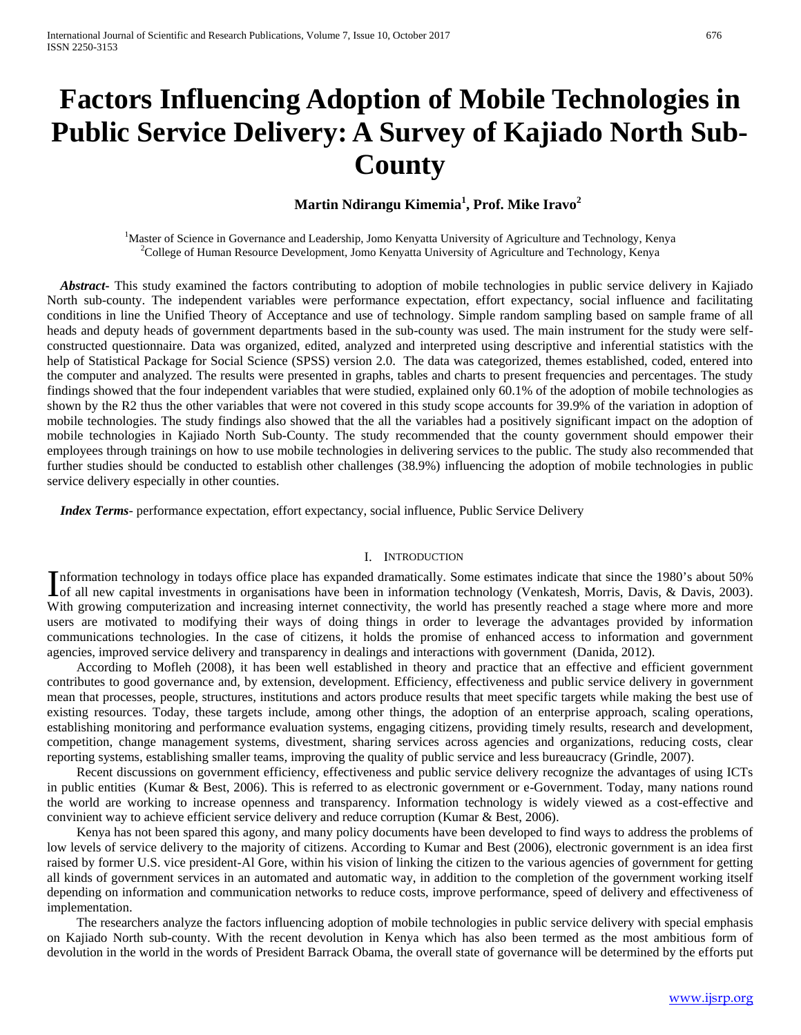# **Factors Influencing Adoption of Mobile Technologies in Public Service Delivery: A Survey of Kajiado North Sub-County**

# **Martin Ndirangu Kimemia<sup>1</sup> , Prof. Mike Iravo<sup>2</sup>**

<sup>1</sup>Master of Science in Governance and Leadership, Jomo Kenyatta University of Agriculture and Technology, Kenya <sup>2</sup>Collogo of Human Becourse Davelopment, Jome Kenyatta University of Agriculture and Technology, Kenya <sup>2</sup>College of Human Resource Development, Jomo Kenyatta University of Agriculture and Technology, Kenya

 *Abstract***-** This study examined the factors contributing to adoption of mobile technologies in public service delivery in Kajiado North sub-county. The independent variables were performance expectation, effort expectancy, social influence and facilitating conditions in line the Unified Theory of Acceptance and use of technology. Simple random sampling based on sample frame of all heads and deputy heads of government departments based in the sub-county was used. The main instrument for the study were selfconstructed questionnaire. Data was organized, edited, analyzed and interpreted using descriptive and inferential statistics with the help of Statistical Package for Social Science (SPSS) version 2.0. The data was categorized, themes established, coded, entered into the computer and analyzed. The results were presented in graphs, tables and charts to present frequencies and percentages. The study findings showed that the four independent variables that were studied, explained only 60.1% of the adoption of mobile technologies as shown by the R2 thus the other variables that were not covered in this study scope accounts for 39.9% of the variation in adoption of mobile technologies. The study findings also showed that the all the variables had a positively significant impact on the adoption of mobile technologies in Kajiado North Sub-County. The study recommended that the county government should empower their employees through trainings on how to use mobile technologies in delivering services to the public. The study also recommended that further studies should be conducted to establish other challenges (38.9%) influencing the adoption of mobile technologies in public service delivery especially in other counties.

 *Index Terms*- performance expectation, effort expectancy, social influence, Public Service Delivery

#### I. INTRODUCTION

Information technology in todays office place has expanded dramatically. Some estimates indicate that since the 1980's about 50% of all new capital investments in organisations have been in information technology (Venkates Lof all new capital investments in organisations have been in information technology (Venkatesh, Morris, Davis, & Davis, 2003). With growing computerization and increasing internet connectivity, the world has presently reached a stage where more and more users are motivated to modifying their ways of doing things in order to leverage the advantages provided by information communications technologies. In the case of citizens, it holds the promise of enhanced access to information and government agencies, improved service delivery and transparency in dealings and interactions with government (Danida, 2012).

 According to Mofleh (2008), it has been well established in theory and practice that an effective and efficient government contributes to good governance and, by extension, development. Efficiency, effectiveness and public service delivery in government mean that processes, people, structures, institutions and actors produce results that meet specific targets while making the best use of existing resources. Today, these targets include, among other things, the adoption of an enterprise approach, scaling operations, establishing monitoring and performance evaluation systems, engaging citizens, providing timely results, research and development, competition, change management systems, divestment, sharing services across agencies and organizations, reducing costs, clear reporting systems, establishing smaller teams, improving the quality of public service and less bureaucracy (Grindle, 2007).

 Recent discussions on government efficiency, effectiveness and public service delivery recognize the advantages of using ICTs in public entities (Kumar & Best, 2006). This is referred to as electronic government or e-Government. Today, many nations round the world are working to increase openness and transparency. Information technology is widely viewed as a cost-effective and convinient way to achieve efficient service delivery and reduce corruption (Kumar & Best, 2006).

 Kenya has not been spared this agony, and many policy documents have been developed to find ways to address the problems of low levels of service delivery to the majority of citizens. According to Kumar and Best (2006), electronic government is an idea first raised by former U.S. vice president-Al Gore, within his vision of linking the citizen to the various agencies of government for getting all kinds of government services in an automated and automatic way, in addition to the completion of the government working itself depending on information and communication networks to reduce costs, improve performance, speed of delivery and effectiveness of implementation.

 The researchers analyze the factors influencing adoption of mobile technologies in public service delivery with special emphasis on Kajiado North sub-county. With the recent devolution in Kenya which has also been termed as the most ambitious form of devolution in the world in the words of President Barrack Obama, the overall state of governance will be determined by the efforts put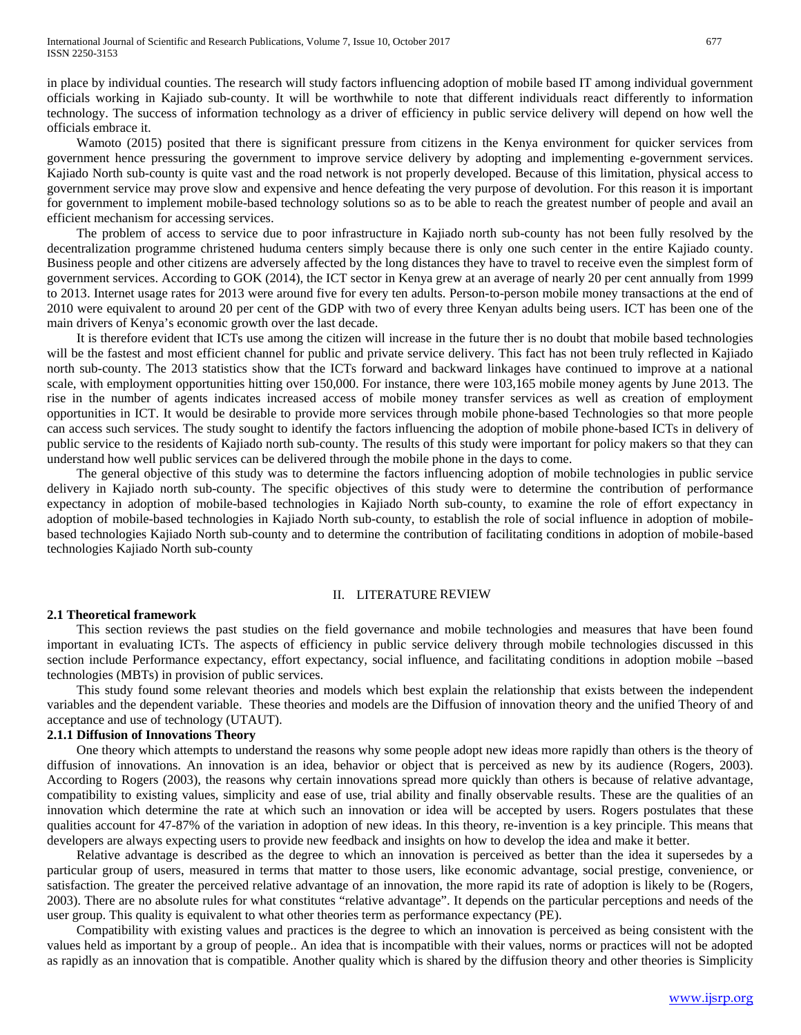in place by individual counties. The research will study factors influencing adoption of mobile based IT among individual government officials working in Kajiado sub-county. It will be worthwhile to note that different individuals react differently to information technology. The success of information technology as a driver of efficiency in public service delivery will depend on how well the officials embrace it.

 Wamoto (2015) posited that there is significant pressure from citizens in the Kenya environment for quicker services from government hence pressuring the government to improve service delivery by adopting and implementing e-government services. Kajiado North sub-county is quite vast and the road network is not properly developed. Because of this limitation, physical access to government service may prove slow and expensive and hence defeating the very purpose of devolution. For this reason it is important for government to implement mobile-based technology solutions so as to be able to reach the greatest number of people and avail an efficient mechanism for accessing services.

 The problem of access to service due to poor infrastructure in Kajiado north sub-county has not been fully resolved by the decentralization programme christened huduma centers simply because there is only one such center in the entire Kajiado county. Business people and other citizens are adversely affected by the long distances they have to travel to receive even the simplest form of government services. According to GOK (2014), the ICT sector in Kenya grew at an average of nearly 20 per cent annually from 1999 to 2013. Internet usage rates for 2013 were around five for every ten adults. Person-to-person mobile money transactions at the end of 2010 were equivalent to around 20 per cent of the GDP with two of every three Kenyan adults being users. ICT has been one of the main drivers of Kenya's economic growth over the last decade.

 It is therefore evident that ICTs use among the citizen will increase in the future ther is no doubt that mobile based technologies will be the fastest and most efficient channel for public and private service delivery. This fact has not been truly reflected in Kajiado north sub-county. The 2013 statistics show that the ICTs forward and backward linkages have continued to improve at a national scale, with employment opportunities hitting over 150,000. For instance, there were 103,165 mobile money agents by June 2013. The rise in the number of agents indicates increased access of mobile money transfer services as well as creation of employment opportunities in ICT. It would be desirable to provide more services through mobile phone-based Technologies so that more people can access such services. The study sought to identify the factors influencing the adoption of mobile phone-based ICTs in delivery of public service to the residents of Kajiado north sub-county. The results of this study were important for policy makers so that they can understand how well public services can be delivered through the mobile phone in the days to come.

 The general objective of this study was to determine the factors influencing adoption of mobile technologies in public service delivery in Kajiado north sub-county. The specific objectives of this study were to determine the contribution of performance expectancy in adoption of mobile-based technologies in Kajiado North sub-county, to examine the role of effort expectancy in adoption of mobile-based technologies in Kajiado North sub-county, to establish the role of social influence in adoption of mobilebased technologies Kajiado North sub-county and to determine the contribution of facilitating conditions in adoption of mobile-based technologies Kajiado North sub-county

#### II. LITERATURE REVIEW

#### **2.1 Theoretical framework**

 This section reviews the past studies on the field governance and mobile technologies and measures that have been found important in evaluating ICTs. The aspects of efficiency in public service delivery through mobile technologies discussed in this section include Performance expectancy, effort expectancy, social influence, and facilitating conditions in adoption mobile –based technologies (MBTs) in provision of public services.

 This study found some relevant theories and models which best explain the relationship that exists between the independent variables and the dependent variable. These theories and models are the Diffusion of innovation theory and the unified Theory of and acceptance and use of technology (UTAUT).

# **2.1.1 Diffusion of Innovations Theory**

 One theory which attempts to understand the reasons why some people adopt new ideas more rapidly than others is the theory of diffusion of innovations. An innovation is an idea, behavior or object that is perceived as new by its audience (Rogers, 2003). According to Rogers (2003), the reasons why certain innovations spread more quickly than others is because of relative advantage, compatibility to existing values, simplicity and ease of use, trial ability and finally observable results. These are the qualities of an innovation which determine the rate at which such an innovation or idea will be accepted by users. Rogers postulates that these qualities account for 47-87% of the variation in adoption of new ideas. In this theory, re-invention is a key principle. This means that developers are always expecting users to provide new feedback and insights on how to develop the idea and make it better.

 Relative advantage is described as the degree to which an innovation is perceived as better than the idea it supersedes by a particular group of users, measured in terms that matter to those users, like economic advantage, social prestige, convenience, or satisfaction. The greater the perceived relative advantage of an innovation, the more rapid its rate of adoption is likely to be (Rogers, 2003). There are no absolute rules for what constitutes "relative advantage". It depends on the particular perceptions and needs of the user group. This quality is equivalent to what other theories term as performance expectancy (PE).

 Compatibility with existing values and practices is the degree to which an innovation is perceived as being consistent with the values held as important by a group of people.. An idea that is incompatible with their values, norms or practices will not be adopted as rapidly as an innovation that is compatible. Another quality which is shared by the diffusion theory and other theories is Simplicity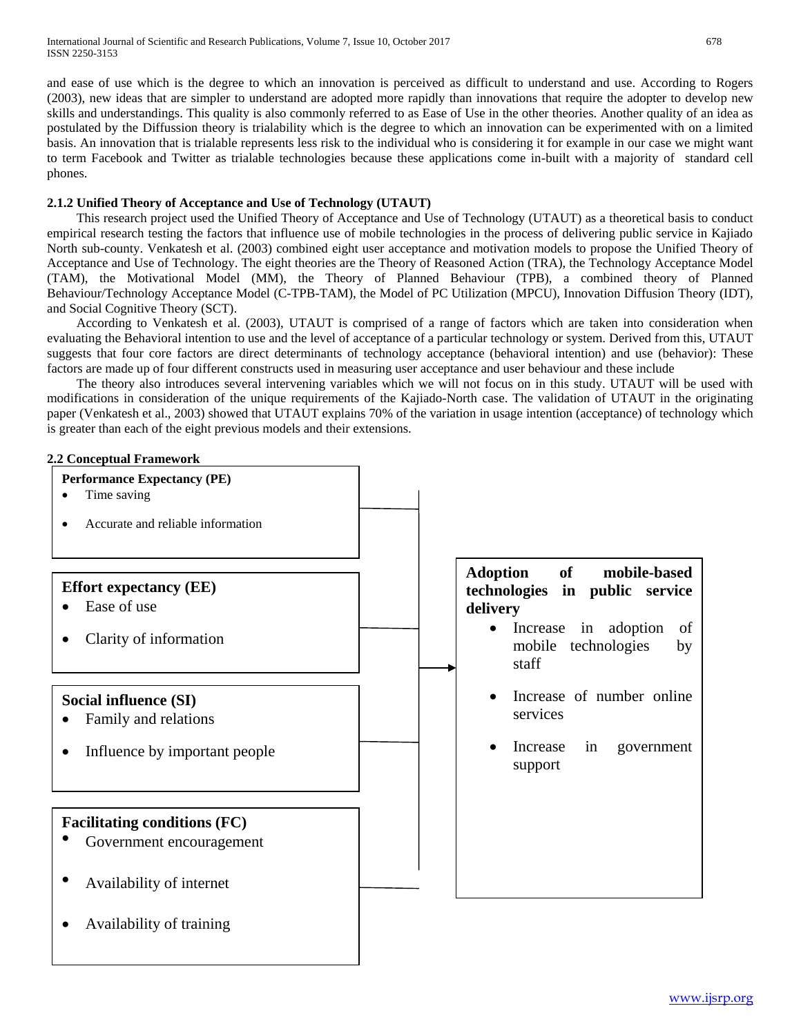and ease of use which is the degree to which an innovation is perceived as difficult to understand and use. According to Rogers (2003), new ideas that are simpler to understand are adopted more rapidly than innovations that require the adopter to develop new skills and understandings. This quality is also commonly referred to as Ease of Use in the other theories. Another quality of an idea as postulated by the Diffussion theory is trialability which is the degree to which an innovation can be experimented with on a limited basis. An innovation that is trialable represents less risk to the individual who is considering it for example in our case we might want to term Facebook and Twitter as trialable technologies because these applications come in-built with a majority of standard cell phones.

# **2.1.2 Unified Theory of Acceptance and Use of Technology (UTAUT)**

 This research project used the Unified Theory of Acceptance and Use of Technology (UTAUT) as a theoretical basis to conduct empirical research testing the factors that influence use of mobile technologies in the process of delivering public service in Kajiado North sub-county. Venkatesh et al. (2003) combined eight user acceptance and motivation models to propose the Unified Theory of Acceptance and Use of Technology. The eight theories are the Theory of Reasoned Action (TRA), the Technology Acceptance Model (TAM), the Motivational Model (MM), the Theory of Planned Behaviour (TPB), a combined theory of Planned Behaviour/Technology Acceptance Model (C-TPB-TAM), the Model of PC Utilization (MPCU), Innovation Diffusion Theory (IDT), and Social Cognitive Theory (SCT).

 According to Venkatesh et al. (2003), UTAUT is comprised of a range of factors which are taken into consideration when evaluating the Behavioral intention to use and the level of acceptance of a particular technology or system. Derived from this, UTAUT suggests that four core factors are direct determinants of technology acceptance (behavioral intention) and use (behavior): These factors are made up of four different constructs used in measuring user acceptance and user behaviour and these include

 The theory also introduces several intervening variables which we will not focus on in this study. UTAUT will be used with modifications in consideration of the unique requirements of the Kajiado-North case. The validation of UTAUT in the originating paper (Venkatesh et al., 2003) showed that UTAUT explains 70% of the variation in usage intention (acceptance) of technology which is greater than each of the eight previous models and their extensions.

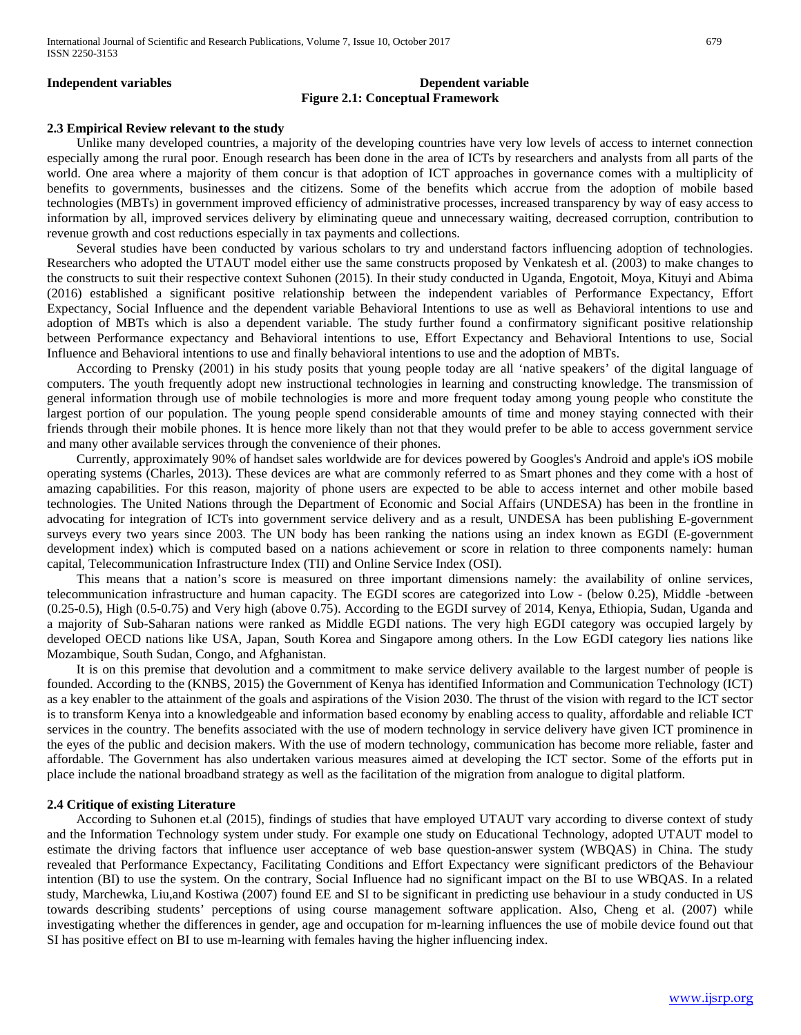# **Independent variables** Dependent variables **Figure 2.1: Conceptual Framework**

#### **2.3 Empirical Review relevant to the study**

 Unlike many developed countries, a majority of the developing countries have very low levels of access to internet connection especially among the rural poor. Enough research has been done in the area of ICTs by researchers and analysts from all parts of the world. One area where a majority of them concur is that adoption of ICT approaches in governance comes with a multiplicity of benefits to governments, businesses and the citizens. Some of the benefits which accrue from the adoption of mobile based technologies (MBTs) in government improved efficiency of administrative processes, increased transparency by way of easy access to information by all, improved services delivery by eliminating queue and unnecessary waiting, decreased corruption, contribution to revenue growth and cost reductions especially in tax payments and collections.

 Several studies have been conducted by various scholars to try and understand factors influencing adoption of technologies. Researchers who adopted the UTAUT model either use the same constructs proposed by Venkatesh et al. (2003) to make changes to the constructs to suit their respective context Suhonen (2015). In their study conducted in Uganda, Engotoit, Moya, Kituyi and Abima (2016) established a significant positive relationship between the independent variables of Performance Expectancy, Effort Expectancy, Social Influence and the dependent variable Behavioral Intentions to use as well as Behavioral intentions to use and adoption of MBTs which is also a dependent variable. The study further found a confirmatory significant positive relationship between Performance expectancy and Behavioral intentions to use, Effort Expectancy and Behavioral Intentions to use, Social Influence and Behavioral intentions to use and finally behavioral intentions to use and the adoption of MBTs.

 According to Prensky (2001) in his study posits that young people today are all 'native speakers' of the digital language of computers. The youth frequently adopt new instructional technologies in learning and constructing knowledge. The transmission of general information through use of mobile technologies is more and more frequent today among young people who constitute the largest portion of our population. The young people spend considerable amounts of time and money staying connected with their friends through their mobile phones. It is hence more likely than not that they would prefer to be able to access government service and many other available services through the convenience of their phones.

 Currently, approximately 90% of handset sales worldwide are for devices powered by Googles's Android and apple's iOS mobile operating systems (Charles, 2013). These devices are what are commonly referred to as Smart phones and they come with a host of amazing capabilities. For this reason, majority of phone users are expected to be able to access internet and other mobile based technologies. The United Nations through the Department of Economic and Social Affairs (UNDESA) has been in the frontline in advocating for integration of ICTs into government service delivery and as a result, UNDESA has been publishing E-government surveys every two years since 2003. The UN body has been ranking the nations using an index known as EGDI (E-government development index) which is computed based on a nations achievement or score in relation to three components namely: human capital, Telecommunication Infrastructure Index (TII) and Online Service Index (OSI).

 This means that a nation's score is measured on three important dimensions namely: the availability of online services, telecommunication infrastructure and human capacity. The EGDI scores are categorized into Low - (below 0.25), Middle -between (0.25-0.5), High (0.5-0.75) and Very high (above 0.75). According to the EGDI survey of 2014, Kenya, Ethiopia, Sudan, Uganda and a majority of Sub-Saharan nations were ranked as Middle EGDI nations. The very high EGDI category was occupied largely by developed OECD nations like USA, Japan, South Korea and Singapore among others. In the Low EGDI category lies nations like Mozambique, South Sudan, Congo, and Afghanistan.

 It is on this premise that devolution and a commitment to make service delivery available to the largest number of people is founded. According to the (KNBS, 2015) the Government of Kenya has identified Information and Communication Technology (ICT) as a key enabler to the attainment of the goals and aspirations of the Vision 2030. The thrust of the vision with regard to the ICT sector is to transform Kenya into a knowledgeable and information based economy by enabling access to quality, affordable and reliable ICT services in the country. The benefits associated with the use of modern technology in service delivery have given ICT prominence in the eyes of the public and decision makers. With the use of modern technology, communication has become more reliable, faster and affordable. The Government has also undertaken various measures aimed at developing the ICT sector. Some of the efforts put in place include the national broadband strategy as well as the facilitation of the migration from analogue to digital platform.

#### **2.4 Critique of existing Literature**

 According to Suhonen et.al (2015), findings of studies that have employed UTAUT vary according to diverse context of study and the Information Technology system under study. For example one study on Educational Technology, adopted UTAUT model to estimate the driving factors that influence user acceptance of web base question-answer system (WBQAS) in China. The study revealed that Performance Expectancy, Facilitating Conditions and Effort Expectancy were significant predictors of the Behaviour intention (BI) to use the system. On the contrary, Social Influence had no significant impact on the BI to use WBQAS. In a related study, Marchewka, Liu,and Kostiwa (2007) found EE and SI to be significant in predicting use behaviour in a study conducted in US towards describing students' perceptions of using course management software application. Also, Cheng et al. (2007) while investigating whether the differences in gender, age and occupation for m-learning influences the use of mobile device found out that SI has positive effect on BI to use m-learning with females having the higher influencing index.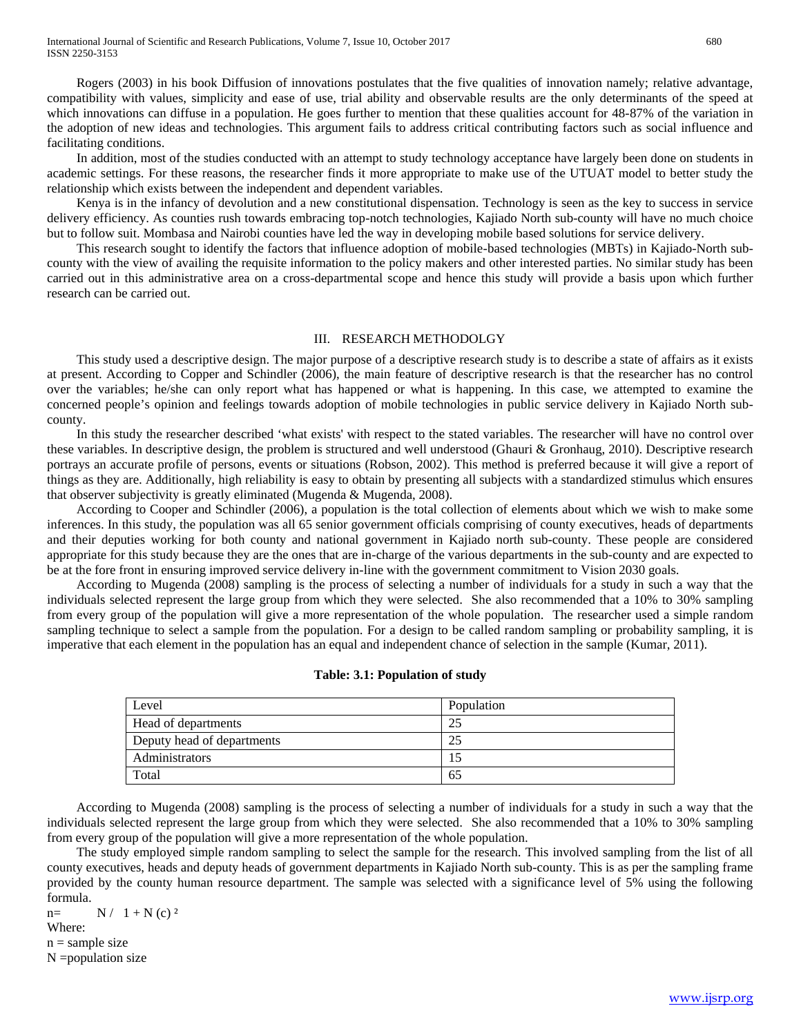Rogers (2003) in his book Diffusion of innovations postulates that the five qualities of innovation namely; relative advantage, compatibility with values, simplicity and ease of use, trial ability and observable results are the only determinants of the speed at which innovations can diffuse in a population. He goes further to mention that these qualities account for 48-87% of the variation in the adoption of new ideas and technologies. This argument fails to address critical contributing factors such as social influence and facilitating conditions.

 In addition, most of the studies conducted with an attempt to study technology acceptance have largely been done on students in academic settings. For these reasons, the researcher finds it more appropriate to make use of the UTUAT model to better study the relationship which exists between the independent and dependent variables.

 Kenya is in the infancy of devolution and a new constitutional dispensation. Technology is seen as the key to success in service delivery efficiency. As counties rush towards embracing top-notch technologies, Kajiado North sub-county will have no much choice but to follow suit. Mombasa and Nairobi counties have led the way in developing mobile based solutions for service delivery.

 This research sought to identify the factors that influence adoption of mobile-based technologies (MBTs) in Kajiado-North subcounty with the view of availing the requisite information to the policy makers and other interested parties. No similar study has been carried out in this administrative area on a cross-departmental scope and hence this study will provide a basis upon which further research can be carried out.

#### III. RESEARCH METHODOLGY

 This study used a descriptive design. The major purpose of a descriptive research study is to describe a state of affairs as it exists at present. According to Copper and Schindler (2006), the main feature of descriptive research is that the researcher has no control over the variables; he/she can only report what has happened or what is happening. In this case, we attempted to examine the concerned people's opinion and feelings towards adoption of mobile technologies in public service delivery in Kajiado North subcounty.

 In this study the researcher described 'what exists' with respect to the stated variables. The researcher will have no control over these variables. In descriptive design, the problem is structured and well understood (Ghauri & Gronhaug, 2010). Descriptive research portrays an accurate profile of persons, events or situations (Robson, 2002). This method is preferred because it will give a report of things as they are. Additionally, high reliability is easy to obtain by presenting all subjects with a standardized stimulus which ensures that observer subjectivity is greatly eliminated (Mugenda & Mugenda, 2008).

 According to Cooper and Schindler (2006), a population is the total collection of elements about which we wish to make some inferences. In this study, the population was all 65 senior government officials comprising of county executives, heads of departments and their deputies working for both county and national government in Kajiado north sub-county. These people are considered appropriate for this study because they are the ones that are in-charge of the various departments in the sub-county and are expected to be at the fore front in ensuring improved service delivery in-line with the government commitment to Vision 2030 goals.

 According to Mugenda (2008) sampling is the process of selecting a number of individuals for a study in such a way that the individuals selected represent the large group from which they were selected. She also recommended that a 10% to 30% sampling from every group of the population will give a more representation of the whole population. The researcher used a simple random sampling technique to select a sample from the population. For a design to be called random sampling or probability sampling, it is imperative that each element in the population has an equal and independent chance of selection in the sample (Kumar, 2011).

#### **Table: 3.1: Population of study**

| Level                      | Population |
|----------------------------|------------|
| Head of departments        | 25         |
| Deputy head of departments | 25         |
| Administrators             | 15         |
| Total                      | 65         |

 According to Mugenda (2008) sampling is the process of selecting a number of individuals for a study in such a way that the individuals selected represent the large group from which they were selected. She also recommended that a 10% to 30% sampling from every group of the population will give a more representation of the whole population.

 The study employed simple random sampling to select the sample for the research. This involved sampling from the list of all county executives, heads and deputy heads of government departments in Kajiado North sub-county. This is as per the sampling frame provided by the county human resource department. The sample was selected with a significance level of 5% using the following formula.

 $n=$  N / 1 + N (c) <sup>2</sup> Where:

 $n =$ sample size

N =population size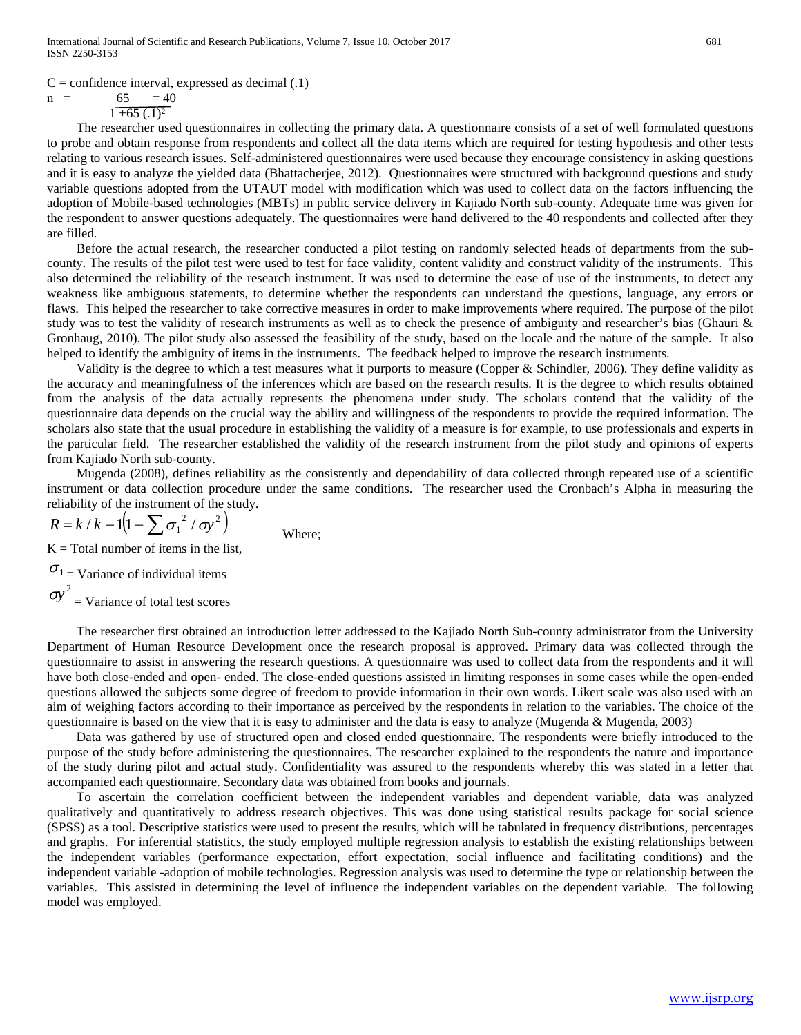$C =$  confidence interval, expressed as decimal  $(0.1)$ 

$$
65 = 40
$$

 $n =$ 

 $1 + 65$   $(0.1)^2$ 

 The researcher used questionnaires in collecting the primary data. A questionnaire consists of a set of well formulated questions to probe and obtain response from respondents and collect all the data items which are required for testing hypothesis and other tests relating to various research issues. Self-administered questionnaires were used because they encourage consistency in asking questions and it is easy to analyze the yielded data (Bhattacherjee, 2012). Questionnaires were structured with background questions and study variable questions adopted from the UTAUT model with modification which was used to collect data on the factors influencing the adoption of Mobile-based technologies (MBTs) in public service delivery in Kajiado North sub-county. Adequate time was given for the respondent to answer questions adequately. The questionnaires were hand delivered to the 40 respondents and collected after they are filled.

 Before the actual research, the researcher conducted a pilot testing on randomly selected heads of departments from the subcounty. The results of the pilot test were used to test for face validity, content validity and construct validity of the instruments. This also determined the reliability of the research instrument. It was used to determine the ease of use of the instruments, to detect any weakness like ambiguous statements, to determine whether the respondents can understand the questions, language, any errors or flaws. This helped the researcher to take corrective measures in order to make improvements where required. The purpose of the pilot study was to test the validity of research instruments as well as to check the presence of ambiguity and researcher's bias (Ghauri & Gronhaug, 2010). The pilot study also assessed the feasibility of the study, based on the locale and the nature of the sample. It also helped to identify the ambiguity of items in the instruments. The feedback helped to improve the research instruments.

 Validity is the degree to which a test measures what it purports to measure (Copper & Schindler, 2006). They define validity as the accuracy and meaningfulness of the inferences which are based on the research results. It is the degree to which results obtained from the analysis of the data actually represents the phenomena under study. The scholars contend that the validity of the questionnaire data depends on the crucial way the ability and willingness of the respondents to provide the required information. The scholars also state that the usual procedure in establishing the validity of a measure is for example, to use professionals and experts in the particular field. The researcher established the validity of the research instrument from the pilot study and opinions of experts from Kajiado North sub-county.

 Mugenda (2008), defines reliability as the consistently and dependability of data collected through repeated use of a scientific instrument or data collection procedure under the same conditions. The researcher used the Cronbach's Alpha in measuring the reliability of the instrument of the study.

$$
R = k / k - 1 \left( 1 - \sum \sigma_1^2 / \sigma y^2 \right)
$$
 Where;

 $K = Total number of items in the list,$ 

 $\sigma_1$  = Variance of individual items  $\sigma y^2$  = Variance of total test scores

 The researcher first obtained an introduction letter addressed to the Kajiado North Sub-county administrator from the University Department of Human Resource Development once the research proposal is approved. Primary data was collected through the questionnaire to assist in answering the research questions. A questionnaire was used to collect data from the respondents and it will have both close-ended and open- ended. The close-ended questions assisted in limiting responses in some cases while the open-ended questions allowed the subjects some degree of freedom to provide information in their own words. Likert scale was also used with an aim of weighing factors according to their importance as perceived by the respondents in relation to the variables. The choice of the questionnaire is based on the view that it is easy to administer and the data is easy to analyze (Mugenda & Mugenda, 2003)

 Data was gathered by use of structured open and closed ended questionnaire. The respondents were briefly introduced to the purpose of the study before administering the questionnaires. The researcher explained to the respondents the nature and importance of the study during pilot and actual study. Confidentiality was assured to the respondents whereby this was stated in a letter that accompanied each questionnaire. Secondary data was obtained from books and journals.

 To ascertain the correlation coefficient between the independent variables and dependent variable, data was analyzed qualitatively and quantitatively to address research objectives. This was done using statistical results package for social science (SPSS) as a tool. Descriptive statistics were used to present the results, which will be tabulated in frequency distributions, percentages and graphs. For inferential statistics, the study employed multiple regression analysis to establish the existing relationships between the independent variables (performance expectation, effort expectation, social influence and facilitating conditions) and the independent variable -adoption of mobile technologies. Regression analysis was used to determine the type or relationship between the variables. This assisted in determining the level of influence the independent variables on the dependent variable. The following model was employed.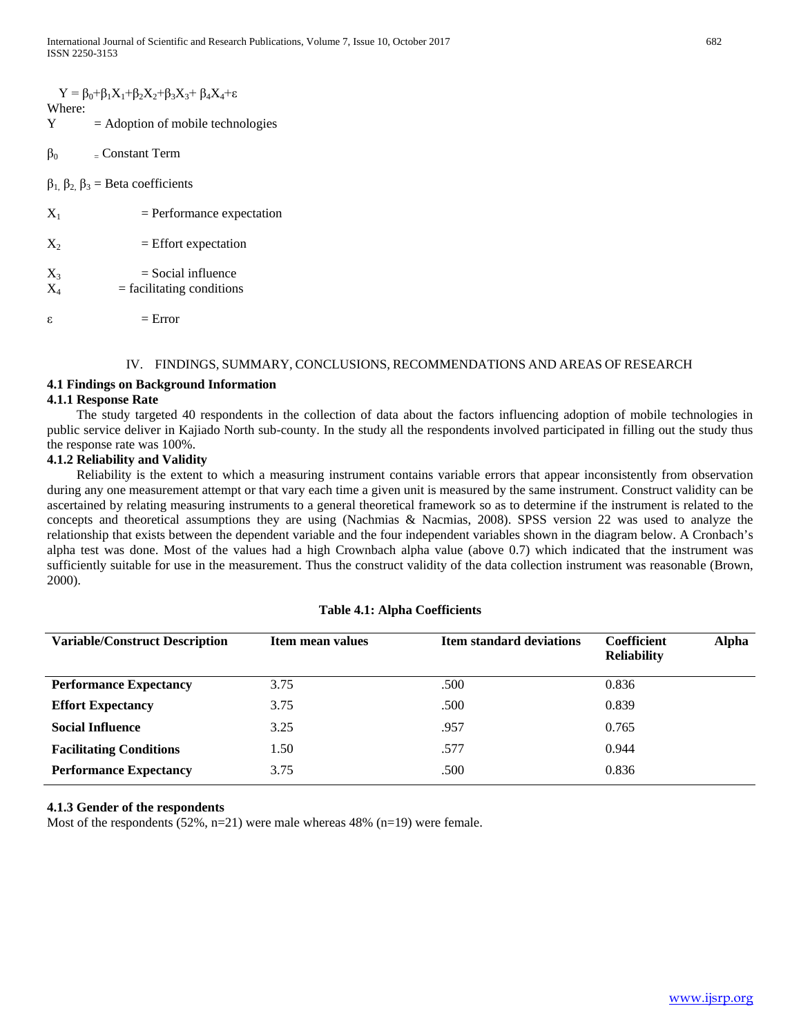|                           | $Y = \beta_0 + \beta_1 X_1 + \beta_2 X_2 + \beta_3 X_3 + \beta_4 X_4 + \epsilon$ |
|---------------------------|----------------------------------------------------------------------------------|
| Where:<br>Y               | $=$ Adoption of mobile technologies                                              |
| $\beta_0$                 | – Constant Term                                                                  |
|                           | $\beta_1$ , $\beta_2$ , $\beta_3$ = Beta coefficients                            |
| $\mathrm{X}_1$            | $=$ Performance expectation                                                      |
| $\Chi_2$                  | $=$ Effort expectation                                                           |
| $\mathrm{X}_3$<br>$\rm X$ | $=$ Social influence<br>$=$ facilitating conditions                              |
| ε                         | $=$ Error                                                                        |

#### IV. FINDINGS, SUMMARY, CONCLUSIONS, RECOMMENDATIONS AND AREAS OF RESEARCH

#### **4.1 Findings on Background Information**

#### **4.1.1 Response Rate**

 The study targeted 40 respondents in the collection of data about the factors influencing adoption of mobile technologies in public service deliver in Kajiado North sub-county. In the study all the respondents involved participated in filling out the study thus the response rate was 100%.

#### **4.1.2 Reliability and Validity**

 Reliability is the extent to which a measuring instrument contains variable errors that appear inconsistently from observation during any one measurement attempt or that vary each time a given unit is measured by the same instrument. Construct validity can be ascertained by relating measuring instruments to a general theoretical framework so as to determine if the instrument is related to the concepts and theoretical assumptions they are using (Nachmias & Nacmias, 2008). SPSS version 22 was used to analyze the relationship that exists between the dependent variable and the four independent variables shown in the diagram below. A Cronbach's alpha test was done. Most of the values had a high Crownbach alpha value (above 0.7) which indicated that the instrument was sufficiently suitable for use in the measurement. Thus the construct validity of the data collection instrument was reasonable (Brown, 2000).

| <b>Variable/Construct Description</b> | Item mean values | <b>Item standard deviations</b> | <b>Alpha</b><br><b>Coefficient</b><br><b>Reliability</b> |
|---------------------------------------|------------------|---------------------------------|----------------------------------------------------------|
| <b>Performance Expectancy</b>         | 3.75             | .500                            | 0.836                                                    |
| <b>Effort Expectancy</b>              | 3.75             | .500                            | 0.839                                                    |
| <b>Social Influence</b>               | 3.25             | .957                            | 0.765                                                    |
| <b>Facilitating Conditions</b>        | 1.50             | .577                            | 0.944                                                    |
| <b>Performance Expectancy</b>         | 3.75             | .500                            | 0.836                                                    |

#### **Table 4.1: Alpha Coefficients**

#### **4.1.3 Gender of the respondents**

Most of the respondents (52%, n=21) were male whereas 48% (n=19) were female.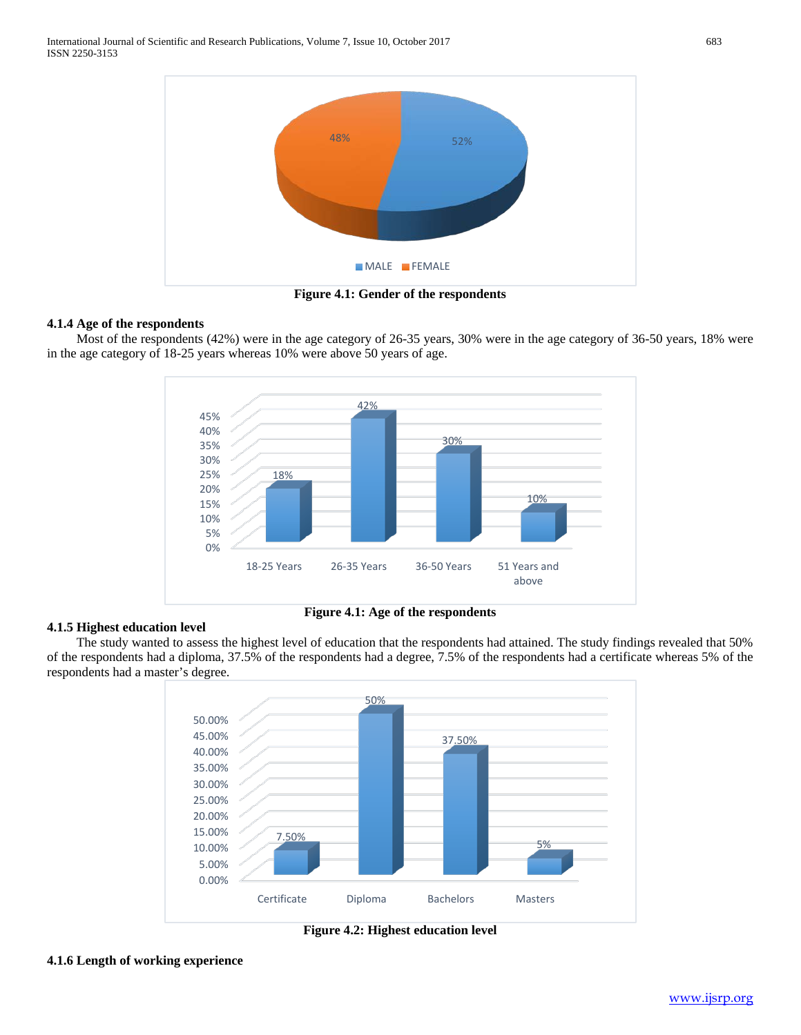

**Figure 4.1: Gender of the respondents**

# **4.1.4 Age of the respondents**

 Most of the respondents (42%) were in the age category of 26-35 years, 30% were in the age category of 36-50 years, 18% were in the age category of 18-25 years whereas 10% were above 50 years of age.



**Figure 4.1: Age of the respondents**

# **4.1.5 Highest education level**

 The study wanted to assess the highest level of education that the respondents had attained. The study findings revealed that 50% of the respondents had a diploma, 37.5% of the respondents had a degree, 7.5% of the respondents had a certificate whereas 5% of the respondents had a master's degree.



**Figure 4.2: Highest education level**

#### **4.1.6 Length of working experience**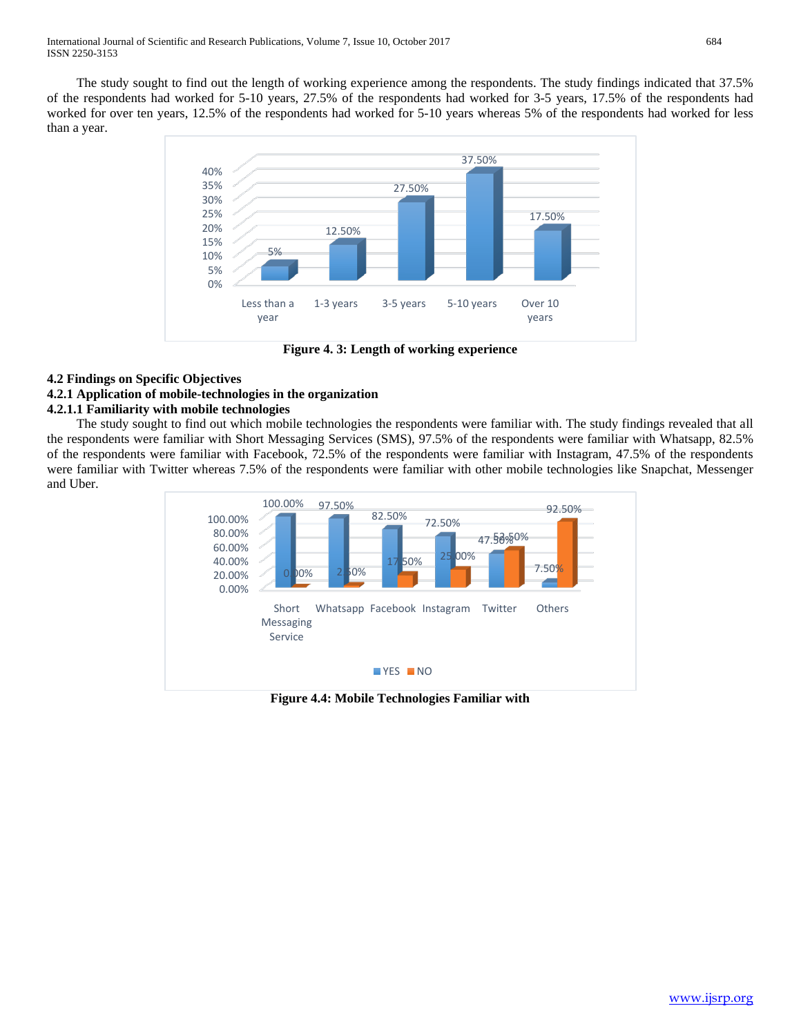The study sought to find out the length of working experience among the respondents. The study findings indicated that 37.5% of the respondents had worked for 5-10 years, 27.5% of the respondents had worked for 3-5 years, 17.5% of the respondents had worked for over ten years, 12.5% of the respondents had worked for 5-10 years whereas 5% of the respondents had worked for less than a year.



**Figure 4. 3: Length of working experience**

# **4.2 Findings on Specific Objectives**

# **4.2.1 Application of mobile-technologies in the organization**

# **4.2.1.1 Familiarity with mobile technologies**

 The study sought to find out which mobile technologies the respondents were familiar with. The study findings revealed that all the respondents were familiar with Short Messaging Services (SMS), 97.5% of the respondents were familiar with Whatsapp, 82.5% of the respondents were familiar with Facebook, 72.5% of the respondents were familiar with Instagram, 47.5% of the respondents were familiar with Twitter whereas 7.5% of the respondents were familiar with other mobile technologies like Snapchat, Messenger and Uber.



**Figure 4.4: Mobile Technologies Familiar with**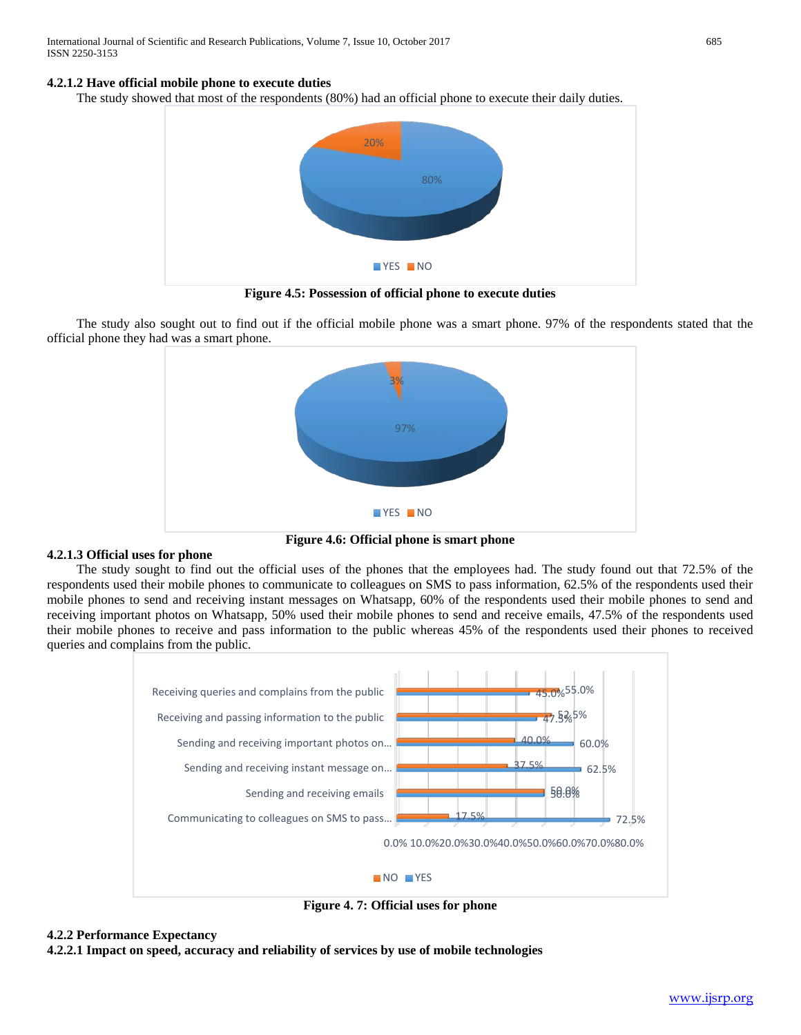# **4.2.1.2 Have official mobile phone to execute duties**

The study showed that most of the respondents (80%) had an official phone to execute their daily duties.



**Figure 4.5: Possession of official phone to execute duties**

 The study also sought out to find out if the official mobile phone was a smart phone. 97% of the respondents stated that the official phone they had was a smart phone.



**Figure 4.6: Official phone is smart phone**

#### **4.2.1.3 Official uses for phone**

 The study sought to find out the official uses of the phones that the employees had. The study found out that 72.5% of the respondents used their mobile phones to communicate to colleagues on SMS to pass information, 62.5% of the respondents used their mobile phones to send and receiving instant messages on Whatsapp, 60% of the respondents used their mobile phones to send and receiving important photos on Whatsapp, 50% used their mobile phones to send and receive emails, 47.5% of the respondents used their mobile phones to receive and pass information to the public whereas 45% of the respondents used their phones to received queries and complains from the public.



**Figure 4. 7: Official uses for phone**

# **4.2.2 Performance Expectancy**

**4.2.2.1 Impact on speed, accuracy and reliability of services by use of mobile technologies**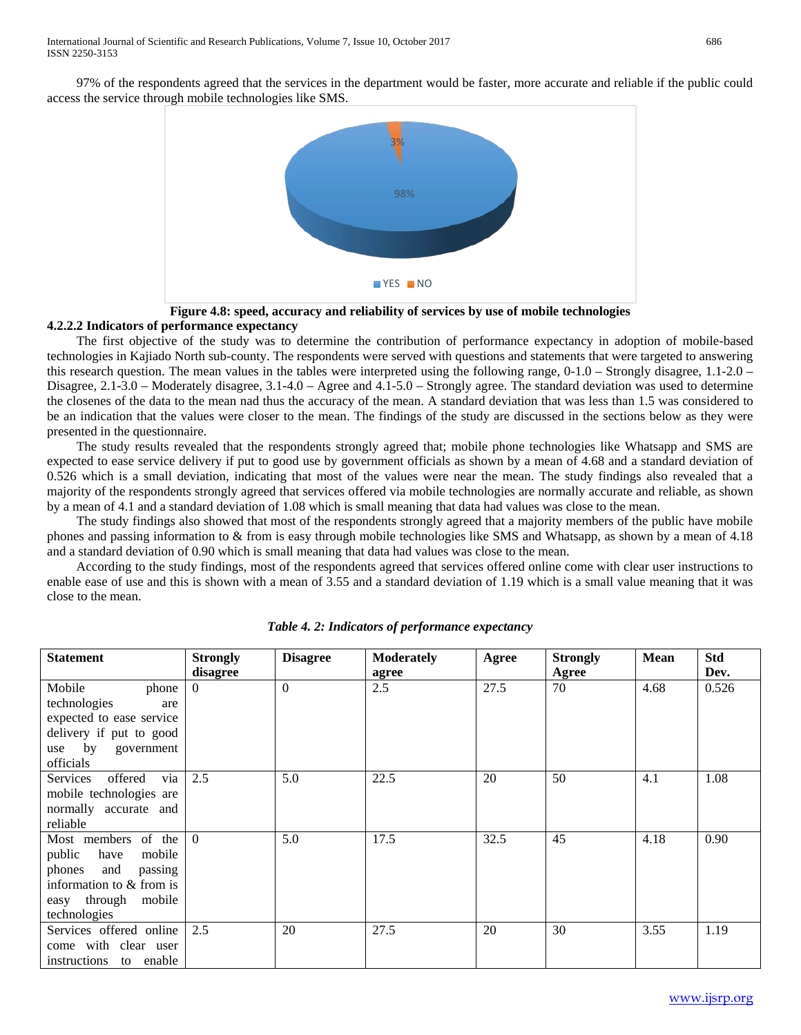97% of the respondents agreed that the services in the department would be faster, more accurate and reliable if the public could access the service through mobile technologies like SMS.



**Figure 4.8: speed, accuracy and reliability of services by use of mobile technologies**

# **4.2.2.2 Indicators of performance expectancy**

 The first objective of the study was to determine the contribution of performance expectancy in adoption of mobile-based technologies in Kajiado North sub-county. The respondents were served with questions and statements that were targeted to answering this research question. The mean values in the tables were interpreted using the following range, 0-1.0 – Strongly disagree, 1.1-2.0 – Disagree, 2.1-3.0 – Moderately disagree, 3.1-4.0 – Agree and 4.1-5.0 – Strongly agree. The standard deviation was used to determine the closenes of the data to the mean nad thus the accuracy of the mean. A standard deviation that was less than 1.5 was considered to be an indication that the values were closer to the mean. The findings of the study are discussed in the sections below as they were presented in the questionnaire.

 The study results revealed that the respondents strongly agreed that; mobile phone technologies like Whatsapp and SMS are expected to ease service delivery if put to good use by government officials as shown by a mean of 4.68 and a standard deviation of 0.526 which is a small deviation, indicating that most of the values were near the mean. The study findings also revealed that a majority of the respondents strongly agreed that services offered via mobile technologies are normally accurate and reliable, as shown by a mean of 4.1 and a standard deviation of 1.08 which is small meaning that data had values was close to the mean.

 The study findings also showed that most of the respondents strongly agreed that a majority members of the public have mobile phones and passing information to & from is easy through mobile technologies like SMS and Whatsapp, as shown by a mean of 4.18 and a standard deviation of 0.90 which is small meaning that data had values was close to the mean.

 According to the study findings, most of the respondents agreed that services offered online come with clear user instructions to enable ease of use and this is shown with a mean of 3.55 and a standard deviation of 1.19 which is a small value meaning that it was close to the mean.

| Statement                           | <b>Strongly</b> | <b>Disagree</b> | <b>Moderately</b> | Agree | <b>Strongly</b> | <b>Mean</b> | <b>Std</b> |
|-------------------------------------|-----------------|-----------------|-------------------|-------|-----------------|-------------|------------|
|                                     | disagree        |                 | agree             |       | Agree           |             | Dev.       |
| Mobile<br>phone                     | $\Omega$        | $\Omega$        | 2.5               | 27.5  | 70              | 4.68        | 0.526      |
| technologies<br>are                 |                 |                 |                   |       |                 |             |            |
| expected to ease service            |                 |                 |                   |       |                 |             |            |
| delivery if put to good             |                 |                 |                   |       |                 |             |            |
| use by government                   |                 |                 |                   |       |                 |             |            |
| officials                           |                 |                 |                   |       |                 |             |            |
| Services offered<br>via             | 2.5             | 5.0             | 22.5              | 20    | 50              | 4.1         | 1.08       |
| mobile technologies are             |                 |                 |                   |       |                 |             |            |
| normally accurate and               |                 |                 |                   |       |                 |             |            |
| reliable                            |                 |                 |                   |       |                 |             |            |
| Most members of the $\vert 0 \vert$ |                 | 5.0             | 17.5              | 32.5  | 45              | 4.18        | 0.90       |
| public have<br>mobile               |                 |                 |                   |       |                 |             |            |
| phones and<br>passing               |                 |                 |                   |       |                 |             |            |
| information to & from is            |                 |                 |                   |       |                 |             |            |
| easy through mobile                 |                 |                 |                   |       |                 |             |            |
| technologies                        |                 |                 |                   |       |                 |             |            |
| Services offered online             | 2.5             | 20              | 27.5              | 20    | 30              | 3.55        | 1.19       |
| come with clear user                |                 |                 |                   |       |                 |             |            |
| instructions to enable              |                 |                 |                   |       |                 |             |            |

*Table 4. 2: Indicators of performance expectancy*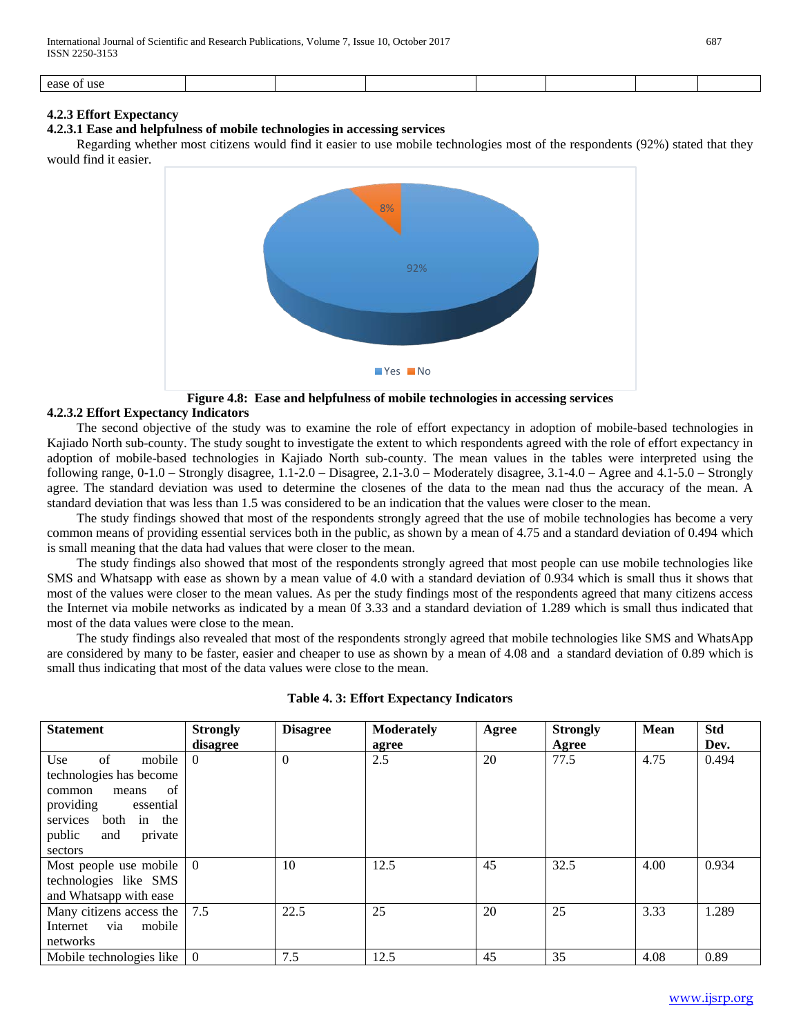|  |  | ease<br>ust<br>: OI |  |  |  |  |  |  |
|--|--|---------------------|--|--|--|--|--|--|
|--|--|---------------------|--|--|--|--|--|--|

#### **4.2.3 Effort Expectancy**

#### **4.2.3.1 Ease and helpfulness of mobile technologies in accessing services**

 Regarding whether most citizens would find it easier to use mobile technologies most of the respondents (92%) stated that they would find it easier.



**Figure 4.8: Ease and helpfulness of mobile technologies in accessing services**

# **4.2.3.2 Effort Expectancy Indicators**

 The second objective of the study was to examine the role of effort expectancy in adoption of mobile-based technologies in Kajiado North sub-county. The study sought to investigate the extent to which respondents agreed with the role of effort expectancy in adoption of mobile-based technologies in Kajiado North sub-county. The mean values in the tables were interpreted using the following range,  $0-1.0$  – Strongly disagree,  $1.1-2.0$  – Disagree,  $2.1-3.0$  – Moderately disagree,  $3.1-4.0$  – Agree and  $4.1-5.0$  – Strongly agree. The standard deviation was used to determine the closenes of the data to the mean nad thus the accuracy of the mean. A standard deviation that was less than 1.5 was considered to be an indication that the values were closer to the mean.

 The study findings showed that most of the respondents strongly agreed that the use of mobile technologies has become a very common means of providing essential services both in the public, as shown by a mean of 4.75 and a standard deviation of 0.494 which is small meaning that the data had values that were closer to the mean.

 The study findings also showed that most of the respondents strongly agreed that most people can use mobile technologies like SMS and Whatsapp with ease as shown by a mean value of 4.0 with a standard deviation of 0.934 which is small thus it shows that most of the values were closer to the mean values. As per the study findings most of the respondents agreed that many citizens access the Internet via mobile networks as indicated by a mean 0f 3.33 and a standard deviation of 1.289 which is small thus indicated that most of the data values were close to the mean.

 The study findings also revealed that most of the respondents strongly agreed that mobile technologies like SMS and WhatsApp are considered by many to be faster, easier and cheaper to use as shown by a mean of 4.08 and a standard deviation of 0.89 which is small thus indicating that most of the data values were close to the mean.

| <b>Statement</b>                                                                                                                                                   | <b>Strongly</b><br>disagree | <b>Disagree</b> | <b>Moderately</b><br>agree | Agree | <b>Strongly</b><br>Agree | <b>Mean</b> | <b>Std</b><br>Dev. |
|--------------------------------------------------------------------------------------------------------------------------------------------------------------------|-----------------------------|-----------------|----------------------------|-------|--------------------------|-------------|--------------------|
| of<br>Use<br>mobile<br>technologies has become<br>- of<br>means<br>common<br>providing<br>essential<br>services both in the<br>public<br>and<br>private<br>sectors | $\Omega$                    | $\theta$        | 2.5                        | 20    | 77.5                     | 4.75        | 0.494              |
| Most people use mobile<br>technologies like SMS<br>and Whatsapp with ease                                                                                          | $\theta$                    | 10              | 12.5                       | 45    | 32.5                     | 4.00        | 0.934              |
| Many citizens access the<br>Internet via<br>mobile<br>networks                                                                                                     | 7.5                         | 22.5            | 25                         | 20    | 25                       | 3.33        | 1.289              |
| Mobile technologies like                                                                                                                                           | $\Omega$                    | 7.5             | 12.5                       | 45    | 35                       | 4.08        | 0.89               |

|  |  |  |  |  | <b>Table 4. 3: Effort Expectancy Indicators</b> |
|--|--|--|--|--|-------------------------------------------------|
|--|--|--|--|--|-------------------------------------------------|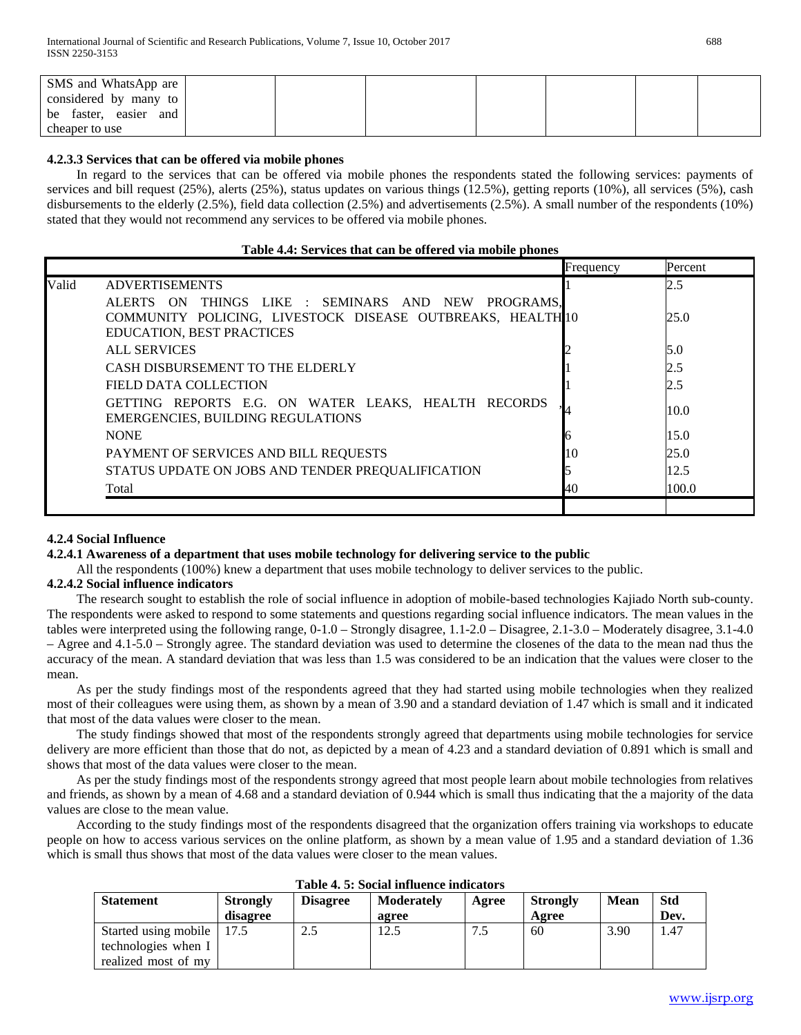| SMS and WhatsApp are     |  |  |  |  |
|--------------------------|--|--|--|--|
| considered by many to    |  |  |  |  |
| be faster, easier<br>and |  |  |  |  |
| cheaper to use           |  |  |  |  |

# **4.2.3.3 Services that can be offered via mobile phones**

 In regard to the services that can be offered via mobile phones the respondents stated the following services: payments of services and bill request (25%), alerts (25%), status updates on various things (12.5%), getting reports (10%), all services (5%), cash disbursements to the elderly (2.5%), field data collection (2.5%) and advertisements (2.5%). A small number of the respondents (10%) stated that they would not recommend any services to be offered via mobile phones.

#### **Table 4.4: Services that can be offered via mobile phones**

| ALERTS ON THINGS LIKE: SEMINARS AND NEW PROGRAMS.<br>COMMUNITY POLICING, LIVESTOCK DISEASE OUTBREAKS, HEALTH10 | 2.5<br>25.0<br>5.0<br>2.5<br>2.5 |
|----------------------------------------------------------------------------------------------------------------|----------------------------------|
|                                                                                                                |                                  |
|                                                                                                                |                                  |
|                                                                                                                |                                  |
|                                                                                                                |                                  |
|                                                                                                                |                                  |
|                                                                                                                |                                  |
|                                                                                                                |                                  |
| GETTING REPORTS E.G. ON WATER LEAKS, HEALTH RECORDS                                                            | 10.0                             |
|                                                                                                                | 15.0                             |
| 10                                                                                                             | 25.0                             |
|                                                                                                                | 12.5                             |
| 40                                                                                                             | 100.0                            |
|                                                                                                                |                                  |

# **4.2.4 Social Influence**

#### **4.2.4.1 Awareness of a department that uses mobile technology for delivering service to the public**

All the respondents (100%) knew a department that uses mobile technology to deliver services to the public.

# **4.2.4.2 Social influence indicators**

 The research sought to establish the role of social influence in adoption of mobile-based technologies Kajiado North sub-county. The respondents were asked to respond to some statements and questions regarding social influence indicators. The mean values in the tables were interpreted using the following range, 0-1.0 – Strongly disagree, 1.1-2.0 – Disagree, 2.1-3.0 – Moderately disagree, 3.1-4.0 – Agree and 4.1-5.0 – Strongly agree. The standard deviation was used to determine the closenes of the data to the mean nad thus the accuracy of the mean. A standard deviation that was less than 1.5 was considered to be an indication that the values were closer to the mean.

 As per the study findings most of the respondents agreed that they had started using mobile technologies when they realized most of their colleagues were using them, as shown by a mean of 3.90 and a standard deviation of 1.47 which is small and it indicated that most of the data values were closer to the mean.

 The study findings showed that most of the respondents strongly agreed that departments using mobile technologies for service delivery are more efficient than those that do not, as depicted by a mean of 4.23 and a standard deviation of 0.891 which is small and shows that most of the data values were closer to the mean.

 As per the study findings most of the respondents strongy agreed that most people learn about mobile technologies from relatives and friends, as shown by a mean of 4.68 and a standard deviation of 0.944 which is small thus indicating that the a majority of the data values are close to the mean value.

 According to the study findings most of the respondents disagreed that the organization offers training via workshops to educate people on how to access various services on the online platform, as shown by a mean value of 1.95 and a standard deviation of 1.36 which is small thus shows that most of the data values were closer to the mean values.

| Table 4. 3. Social immence multaturs |          |                 |            |       |                 |             |            |  |  |
|--------------------------------------|----------|-----------------|------------|-------|-----------------|-------------|------------|--|--|
| <b>Statement</b>                     | Strongly | <b>Disagree</b> | Moderately | Agree | <b>Strongly</b> | <b>Mean</b> | <b>Std</b> |  |  |
|                                      | disagree |                 | agree      |       | Agree           |             | Dev.       |  |  |
| Started using mobile   17.5          |          | 2.5             | 12.5       | 7.5   | 60              | 3.90        | 1.47       |  |  |
| technologies when I                  |          |                 |            |       |                 |             |            |  |  |
| realized most of my                  |          |                 |            |       |                 |             |            |  |  |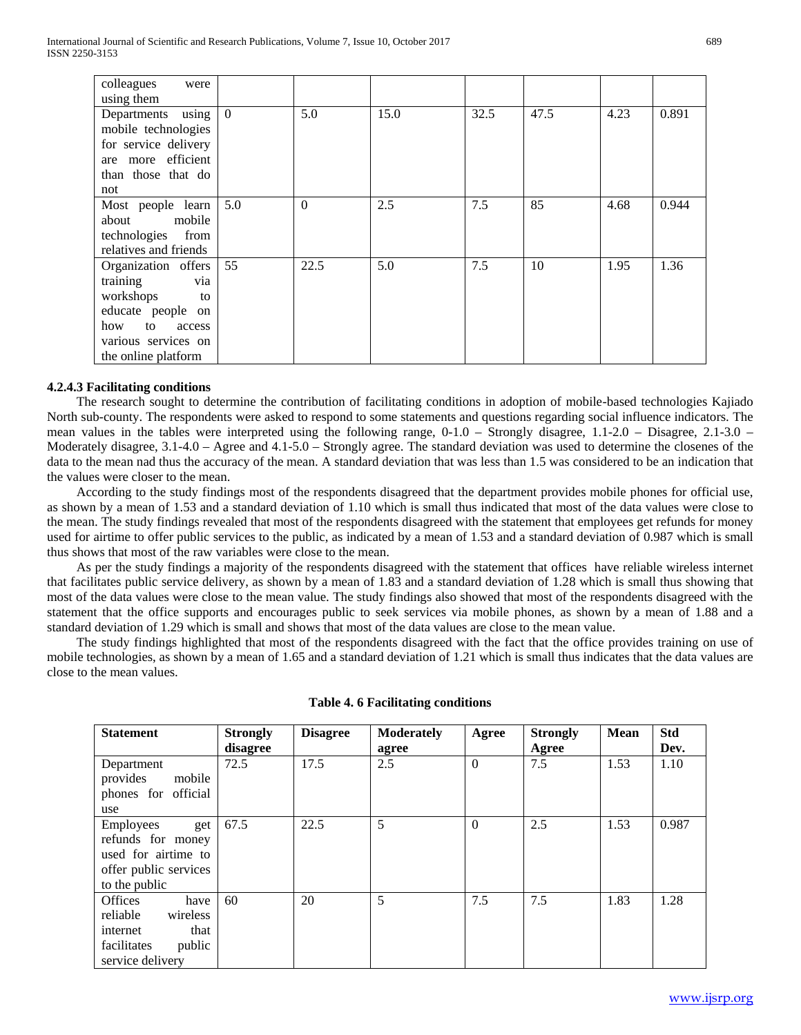| colleagues<br>were<br>using them                                                                                                                    |                |          |      |      |      |      |       |
|-----------------------------------------------------------------------------------------------------------------------------------------------------|----------------|----------|------|------|------|------|-------|
| using<br>Departments<br>mobile technologies<br>for service delivery<br>are more efficient<br>than those that do<br>not                              | $\overline{0}$ | 5.0      | 15.0 | 32.5 | 47.5 | 4.23 | 0.891 |
| Most people learn<br>mobile<br>about<br>technologies<br>from<br>relatives and friends                                                               | 5.0            | $\Omega$ | 2.5  | 7.5  | 85   | 4.68 | 0.944 |
| Organization offers<br>training<br>via<br>workshops<br>to<br>educate people on<br>how<br>to<br>access<br>various services on<br>the online platform | 55             | 22.5     | 5.0  | 7.5  | 10   | 1.95 | 1.36  |

#### **4.2.4.3 Facilitating conditions**

 The research sought to determine the contribution of facilitating conditions in adoption of mobile-based technologies Kajiado North sub-county. The respondents were asked to respond to some statements and questions regarding social influence indicators. The mean values in the tables were interpreted using the following range, 0-1.0 – Strongly disagree, 1.1-2.0 – Disagree, 2.1-3.0 – Moderately disagree, 3.1-4.0 – Agree and 4.1-5.0 – Strongly agree. The standard deviation was used to determine the closenes of the data to the mean nad thus the accuracy of the mean. A standard deviation that was less than 1.5 was considered to be an indication that the values were closer to the mean.

 According to the study findings most of the respondents disagreed that the department provides mobile phones for official use, as shown by a mean of 1.53 and a standard deviation of 1.10 which is small thus indicated that most of the data values were close to the mean. The study findings revealed that most of the respondents disagreed with the statement that employees get refunds for money used for airtime to offer public services to the public, as indicated by a mean of 1.53 and a standard deviation of 0.987 which is small thus shows that most of the raw variables were close to the mean.

 As per the study findings a majority of the respondents disagreed with the statement that offices have reliable wireless internet that facilitates public service delivery, as shown by a mean of 1.83 and a standard deviation of 1.28 which is small thus showing that most of the data values were close to the mean value. The study findings also showed that most of the respondents disagreed with the statement that the office supports and encourages public to seek services via mobile phones, as shown by a mean of 1.88 and a standard deviation of 1.29 which is small and shows that most of the data values are close to the mean value.

 The study findings highlighted that most of the respondents disagreed with the fact that the office provides training on use of mobile technologies, as shown by a mean of 1.65 and a standard deviation of 1.21 which is small thus indicates that the data values are close to the mean values.

| <b>Statement</b>       | <b>Strongly</b> | <b>Disagree</b> | <b>Moderately</b> | Agree    | <b>Strongly</b> | <b>Mean</b> | <b>Std</b> |  |
|------------------------|-----------------|-----------------|-------------------|----------|-----------------|-------------|------------|--|
|                        | disagree        |                 | agree             |          | Agree           |             | Dev.       |  |
| Department             | 72.5            | 17.5            | 2.5               | $\Omega$ | 7.5             | 1.53        | 1.10       |  |
| mobile<br>provides     |                 |                 |                   |          |                 |             |            |  |
| phones for official    |                 |                 |                   |          |                 |             |            |  |
| use                    |                 |                 |                   |          |                 |             |            |  |
| Employees<br>get       | 67.5            | 22.5            | 5                 | $\theta$ | 2.5             | 1.53        | 0.987      |  |
| refunds for money      |                 |                 |                   |          |                 |             |            |  |
| used for airtime to    |                 |                 |                   |          |                 |             |            |  |
| offer public services  |                 |                 |                   |          |                 |             |            |  |
| to the public          |                 |                 |                   |          |                 |             |            |  |
| <b>Offices</b><br>have | 60              | 20              | 5                 | 7.5      | 7.5             | 1.83        | 1.28       |  |
| reliable<br>wireless   |                 |                 |                   |          |                 |             |            |  |
| that<br>internet       |                 |                 |                   |          |                 |             |            |  |
| public<br>facilitates  |                 |                 |                   |          |                 |             |            |  |
| service delivery       |                 |                 |                   |          |                 |             |            |  |

#### **Table 4. 6 Facilitating conditions**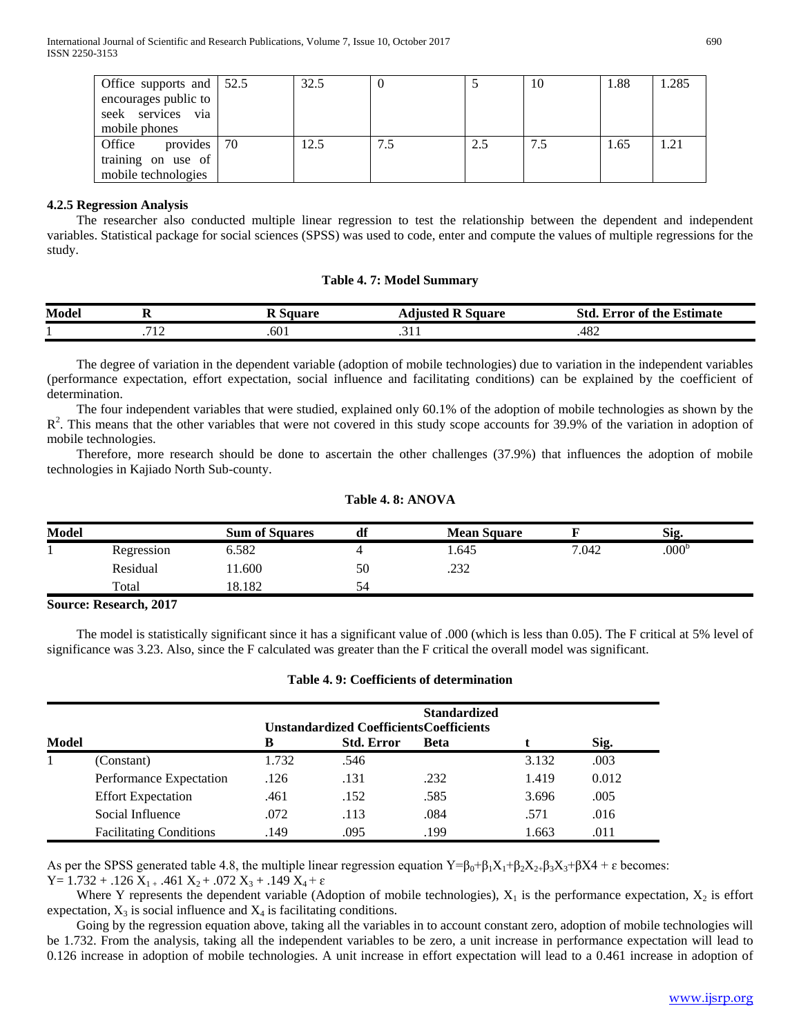| Office supports and $\vert$ 52.5 |     | 32.5 |     | 10  | 1.88 | 1.285 |
|----------------------------------|-----|------|-----|-----|------|-------|
| encourages public to             |     |      |     |     |      |       |
| via<br>seek services             |     |      |     |     |      |       |
| mobile phones                    |     |      |     |     |      |       |
| provides  <br>Office             | -70 | 12.5 | 2.5 | 7.5 | 1.65 | 1.21  |
| training on use of               |     |      |     |     |      |       |
| mobile technologies              |     |      |     |     |      |       |

# **4.2.5 Regression Analysis**

 The researcher also conducted multiple linear regression to test the relationship between the dependent and independent variables. Statistical package for social sciences (SPSS) was used to code, enter and compute the values of multiple regressions for the study.

#### **Table 4. 7: Model Summary**

| <b>Model</b> | --                       | . Square | Square<br>anin'n .              | Std<br>$\overline{\phantom{a}}$<br>Estimate<br>of the '<br>error. |
|--------------|--------------------------|----------|---------------------------------|-------------------------------------------------------------------|
|              | $-11o$<br>$\overline{1}$ | .601     | $\cdot$ $\cdot$ $\cdot$ $\cdot$ | .482                                                              |

 The degree of variation in the dependent variable (adoption of mobile technologies) due to variation in the independent variables (performance expectation, effort expectation, social influence and facilitating conditions) can be explained by the coefficient of determination.

 The four independent variables that were studied, explained only 60.1% of the adoption of mobile technologies as shown by the  $R<sup>2</sup>$ . This means that the other variables that were not covered in this study scope accounts for 39.9% of the variation in adoption of mobile technologies.

 Therefore, more research should be done to ascertain the other challenges (37.9%) that influences the adoption of mobile technologies in Kajiado North Sub-county.

| <b>Model</b> |            | <b>Sum of Squares</b> | df | <b>Mean Square</b> |       | Sig.              |  |
|--------------|------------|-----------------------|----|--------------------|-------|-------------------|--|
|              | Regression | 6.582                 |    | 1.645              | 7.042 | .000 <sup>b</sup> |  |
|              | Residual   | 11.600                | 50 | .232               |       |                   |  |
|              | Total      | 18.182                | 54 |                    |       |                   |  |

#### **Table 4. 8: ANOVA**

#### **Source: Research, 2017**

 The model is statistically significant since it has a significant value of .000 (which is less than 0.05). The F critical at 5% level of significance was 3.23. Also, since the F calculated was greater than the F critical the overall model was significant.

|       |                                |       |                                                 | <b>Standardized</b> |       |       |  |
|-------|--------------------------------|-------|-------------------------------------------------|---------------------|-------|-------|--|
|       |                                |       | <b>Unstandardized Coefficients Coefficients</b> |                     |       |       |  |
| Model |                                | В     | <b>Std. Error</b>                               | <b>Beta</b>         |       | Sig.  |  |
|       | (Constant)                     | 1.732 | .546                                            |                     | 3.132 | .003  |  |
|       | Performance Expectation        | .126  | .131                                            | .232                | 1.419 | 0.012 |  |
|       | <b>Effort Expectation</b>      | .461  | .152                                            | .585                | 3.696 | .005  |  |
|       | Social Influence               | .072  | .113                                            | .084                | .571  | .016  |  |
|       | <b>Facilitating Conditions</b> | .149  | .095                                            | .199                | 1.663 | .011  |  |

#### **Table 4. 9: Coefficients of determination**

As per the SPSS generated table 4.8, the multiple linear regression equation  $Y=\beta_0+\beta_1X_1+\beta_2X_2+\beta_3X_3+\beta X_4+\epsilon$  becomes:  $Y= 1.732 + 0.126 X_{1+}$ .461  $X_2 + 0.072 X_3 + 0.149 X_4 + \varepsilon$ 

Where Y represents the dependent variable (Adoption of mobile technologies),  $X_1$  is the performance expectation,  $X_2$  is effort expectation,  $X_3$  is social influence and  $X_4$  is facilitating conditions.

 Going by the regression equation above, taking all the variables in to account constant zero, adoption of mobile technologies will be 1.732. From the analysis, taking all the independent variables to be zero, a unit increase in performance expectation will lead to 0.126 increase in adoption of mobile technologies. A unit increase in effort expectation will lead to a 0.461 increase in adoption of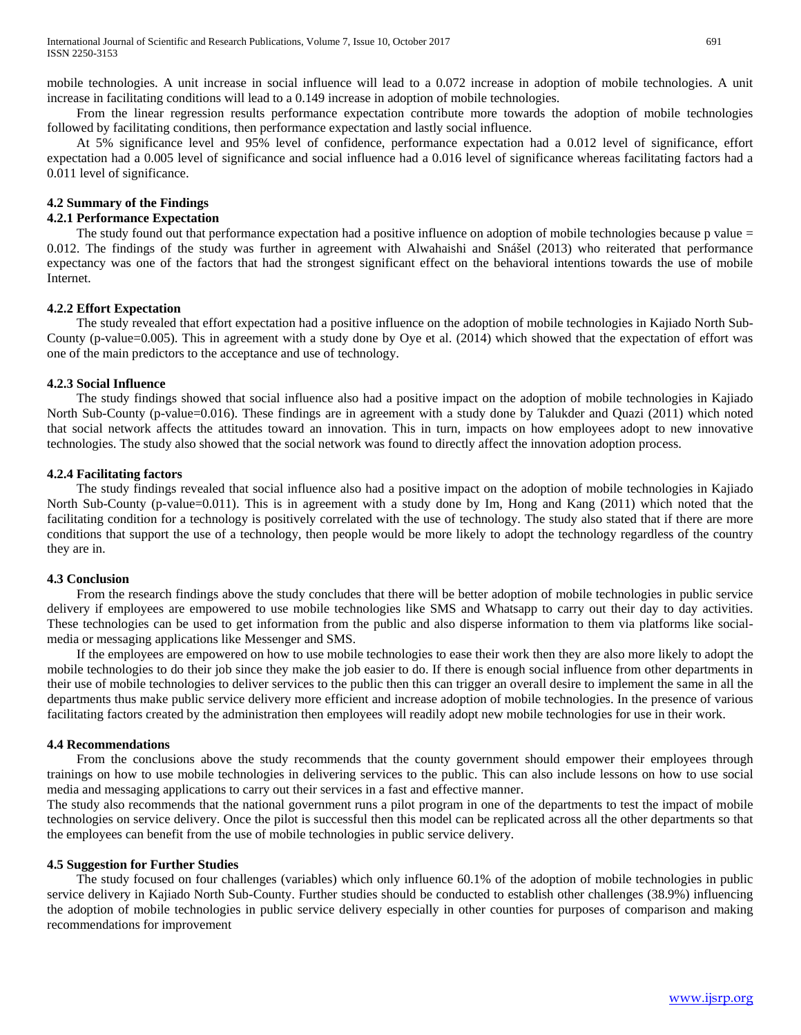mobile technologies. A unit increase in social influence will lead to a 0.072 increase in adoption of mobile technologies. A unit increase in facilitating conditions will lead to a 0.149 increase in adoption of mobile technologies.

 From the linear regression results performance expectation contribute more towards the adoption of mobile technologies followed by facilitating conditions, then performance expectation and lastly social influence.

 At 5% significance level and 95% level of confidence, performance expectation had a 0.012 level of significance, effort expectation had a 0.005 level of significance and social influence had a 0.016 level of significance whereas facilitating factors had a 0.011 level of significance.

#### **4.2 Summary of the Findings**

#### **4.2.1 Performance Expectation**

The study found out that performance expectation had a positive influence on adoption of mobile technologies because p value = 0.012. The findings of the study was further in agreement with Alwahaishi and Snášel (2013) who reiterated that performance expectancy was one of the factors that had the strongest significant effect on the behavioral intentions towards the use of mobile Internet.

# **4.2.2 Effort Expectation**

 The study revealed that effort expectation had a positive influence on the adoption of mobile technologies in Kajiado North Sub-County (p-value=0.005). This in agreement with a study done by Oye et al. (2014) which showed that the expectation of effort was one of the main predictors to the acceptance and use of technology.

#### **4.2.3 Social Influence**

 The study findings showed that social influence also had a positive impact on the adoption of mobile technologies in Kajiado North Sub-County (p-value=0.016). These findings are in agreement with a study done by Talukder and Quazi (2011) which noted that social network affects the attitudes toward an innovation. This in turn, impacts on how employees adopt to new innovative technologies. The study also showed that the social network was found to directly affect the innovation adoption process.

#### **4.2.4 Facilitating factors**

 The study findings revealed that social influence also had a positive impact on the adoption of mobile technologies in Kajiado North Sub-County (p-value=0.011). This is in agreement with a study done by Im, Hong and Kang (2011) which noted that the facilitating condition for a technology is positively correlated with the use of technology. The study also stated that if there are more conditions that support the use of a technology, then people would be more likely to adopt the technology regardless of the country they are in.

# **4.3 Conclusion**

 From the research findings above the study concludes that there will be better adoption of mobile technologies in public service delivery if employees are empowered to use mobile technologies like SMS and Whatsapp to carry out their day to day activities. These technologies can be used to get information from the public and also disperse information to them via platforms like socialmedia or messaging applications like Messenger and SMS.

 If the employees are empowered on how to use mobile technologies to ease their work then they are also more likely to adopt the mobile technologies to do their job since they make the job easier to do. If there is enough social influence from other departments in their use of mobile technologies to deliver services to the public then this can trigger an overall desire to implement the same in all the departments thus make public service delivery more efficient and increase adoption of mobile technologies. In the presence of various facilitating factors created by the administration then employees will readily adopt new mobile technologies for use in their work.

#### **4.4 Recommendations**

 From the conclusions above the study recommends that the county government should empower their employees through trainings on how to use mobile technologies in delivering services to the public. This can also include lessons on how to use social media and messaging applications to carry out their services in a fast and effective manner.

The study also recommends that the national government runs a pilot program in one of the departments to test the impact of mobile technologies on service delivery. Once the pilot is successful then this model can be replicated across all the other departments so that the employees can benefit from the use of mobile technologies in public service delivery.

#### **4.5 Suggestion for Further Studies**

 The study focused on four challenges (variables) which only influence 60.1% of the adoption of mobile technologies in public service delivery in Kajiado North Sub-County. Further studies should be conducted to establish other challenges (38.9%) influencing the adoption of mobile technologies in public service delivery especially in other counties for purposes of comparison and making recommendations for improvement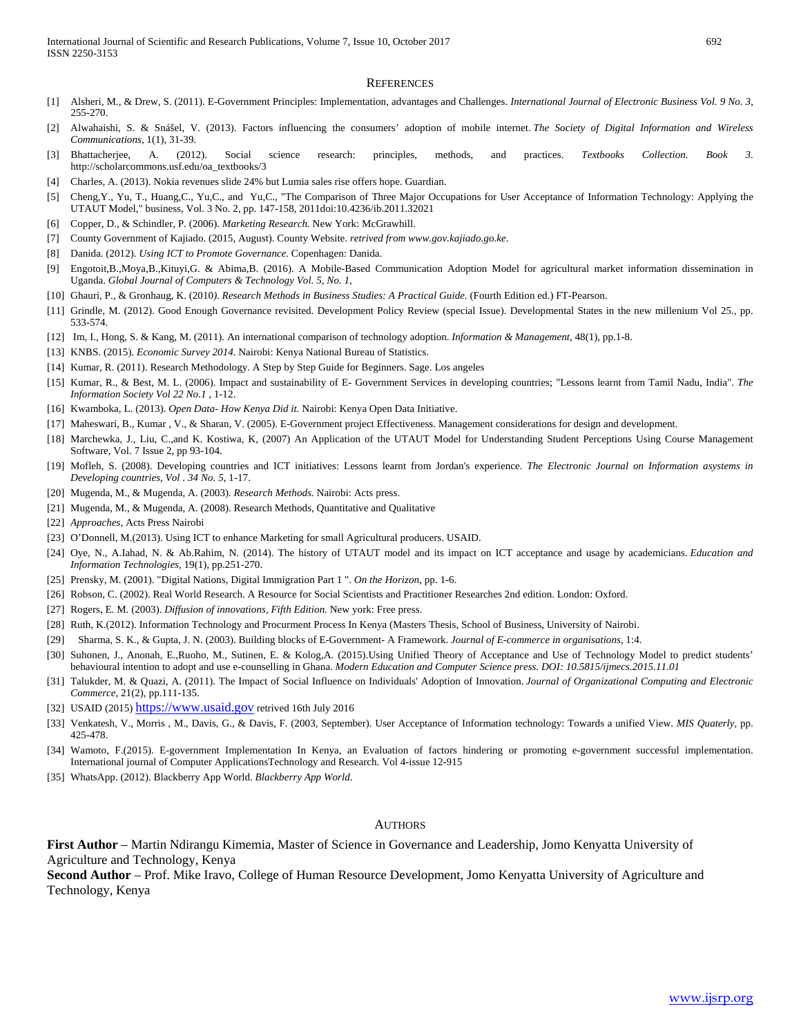#### **REFERENCES**

- [1] Alsheri, M., & Drew, S. (2011). E-Government Principles: Implementation, advantages and Challenges. *International Journal of Electronic Business Vol. 9 No. 3*, 255-270.
- [2] Alwahaishi, S. & Snášel, V. (2013). Factors influencing the consumers' adoption of mobile internet. *The Society of Digital Information and Wireless Communications*, 1(1), 31-39.
- [3] Bhattacherjee, A. (2012). Social science research: principles, methods, and practices. *Textbooks Collection. Book 3.* http://scholarcommons.usf.edu/oa\_textbooks/3
- [4] Charles, A. (2013). Nokia revenues slide 24% but Lumia sales rise offers hope. Guardian.
- [5] Cheng,Y., Yu, T., Huang,C., Yu,C., and Yu,C., "The Comparison of Three Major Occupations for User Acceptance of Information Technology: Applying the UTAUT Model," business, Vol. 3 No. 2, pp. 147-158, 2011doi:10.4236/ib.2011.32021
- [6] Copper, D., & Schindler, P. (2006). *Marketing Research.* New York: McGrawhill.
- [7] County Government of Kajiado. (2015, August). County Website. *retrived from www.gov.kajiado.go.ke*.
- [8] Danida. (2012). *Using ICT to Promote Governance.* Copenhagen: Danida.
- [9] Engotoit,B.,Moya,B.,Kituyi,G. & Abima,B. (2016). A Mobile-Based Communication Adoption Model for agricultural market information dissemination in Uganda. *Global Journal of Computers & Technology Vol. 5, No. 1,*
- [10] Ghauri, P., & Gronhaug, K. (2010*). Research Methods in Business Studies: A Practical Guide.* (Fourth Edition ed.) FT-Pearson.
- [11] Grindle, M. (2012). Good Enough Governance revisited. Development Policy Review (special Issue). Developmental States in the new millenium Vol 25., pp. 533-574.
- [12] Im, I., Hong, S. & Kang, M. (2011). An international comparison of technology adoption. *Information & Management*, 48(1), pp.1-8.
- [13] KNBS. (2015). *Economic Survey 2014.* Nairobi: Kenya National Bureau of Statistics.
- [14] Kumar, R. (2011). Research Methodology. A Step by Step Guide for Beginners. Sage. Los angeles
- [15] Kumar, R., & Best, M. L. (2006). Impact and sustainability of E- Government Services in developing countries; "Lessons learnt from Tamil Nadu, India". *The Information Society Vol 22 No.1* , 1-12.
- [16] Kwamboka, L. (2013). *Open Data- How Kenya Did it.* Nairobi: Kenya Open Data Initiative.
- [17] Maheswari, B., Kumar , V., & Sharan, V. (2005). E-Government project Effectiveness. Management considerations for design and development.
- [18] Marchewka, J., Liu, C.,and K. Kostiwa, K, (2007) An Application of the UTAUT Model for Understanding Student Perceptions Using Course Management Software, Vol. 7 Issue 2, pp 93-104.
- [19] Mofleh, S. (2008). Developing countries and ICT initiatives: Lessons learnt from Jordan's experience. *The Electronic Journal on Information asystems in Developing countries, Vol . 34 No. 5*, 1-17.
- [20] Mugenda, M., & Mugenda, A. (2003). *Research Methods.* Nairobi: Acts press.
- [21] Mugenda, M., & Mugenda, A. (2008). Research Methods, Quantitative and Qualitative
- [22] *Approaches*, Acts Press Nairobi
- [23] O'Donnell, M.(2013). Using ICT to enhance Marketing for small Agricultural producers. USAID.
- [24] Oye, N., A.Iahad, N. & Ab.Rahim, N. (2014). The history of UTAUT model and its impact on ICT acceptance and usage by academicians. *Education and Information Technologies*, 19(1), pp.251-270.
- [25] Prensky, M. (2001). "Digital Nations, Digital Immigration Part 1 ". *On the Horizon*, pp. 1-6.
- [26] Robson, C. (2002). Real World Research. A Resource for Social Scientists and Practitioner Researches 2nd edition. London: Oxford.
- [27] Rogers, E. M. (2003). *Diffusion of innovations, Fifth Edition.* New york: Free press.
- [28] Ruth, K.(2012). Information Technology and Procurment Process In Kenya (Masters Thesis, School of Business, University of Nairobi.
- [29] Sharma, S. K., & Gupta, J. N. (2003). Building blocks of E-Government- A Framework. *Journal of E-commerce in organisations*, 1:4.
- [30] Suhonen, J., Anonah, E.,Ruoho, M., Sutinen, E. & Kolog,A. (2015).Using Unified Theory of Acceptance and Use of Technology Model to predict students' behavioural intention to adopt and use e-counselling in Ghana. *Modern Education and Computer Science press. DOI: 10.5815/ijmecs.2015.11.01*
- [31] Talukder, M. & Quazi, A. (2011). The Impact of Social Influence on Individuals' Adoption of Innovation. *Journal of Organizational Computing and Electronic Commerce*, 21(2), pp.111-135.
- [32] USAID (2015) [https://www.usaid.gov](https://www.usaid.gov/) retrived 16th July 2016
- [33] Venkatesh, V., Morris , M., Davis, G., & Davis, F. (2003, September). User Acceptance of Information technology: Towards a unified View. *MIS Quaterly*, pp. 425-478.
- [34] Wamoto, F.(2015). E-government Implementation In Kenya, an Evaluation of factors hindering or promoting e-government successful implementation. International journal of Computer ApplicationsTechnology and Research. Vol 4-issue 12-915
- [35] WhatsApp. (2012). Blackberry App World. *Blackberry App World*.

#### **AUTHORS**

**First Author** – Martin Ndirangu Kimemia, Master of Science in Governance and Leadership, Jomo Kenyatta University of Agriculture and Technology, Kenya

**Second Author** – Prof. Mike Iravo, College of Human Resource Development, Jomo Kenyatta University of Agriculture and Technology, Kenya